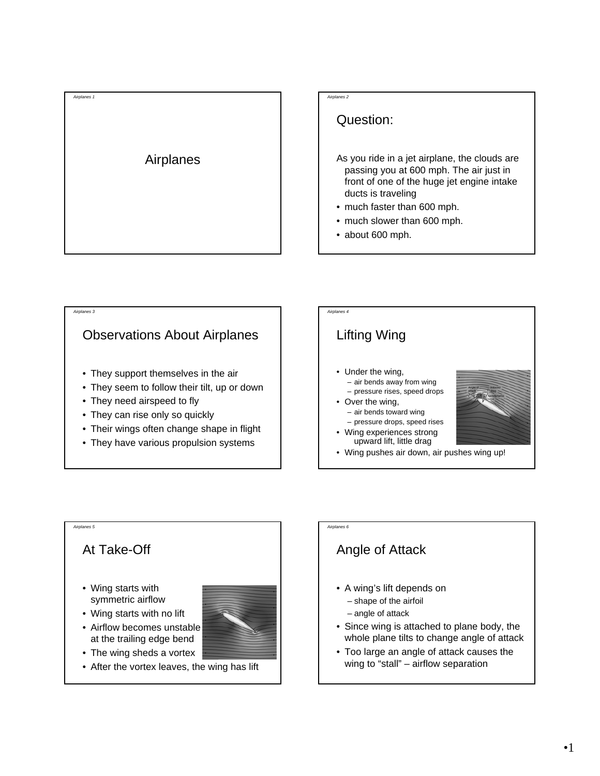

#### *Airplanes 2*

#### Question:

- As you ride in a jet airplane, the clouds are passing you at 600 mph. The air just in front of one of the huge jet engine intake ducts is traveling
- much faster than 600 mph.
- much slower than 600 mph.
- about 600 mph.





## *Airplanes 6*

### Angle of Attack

- A wing's lift depends on
	- shape of the airfoil
	- angle of attack
- Since wing is attached to plane body, the whole plane tilts to change angle of attack
- Too large an angle of attack causes the wing to "stall" – airflow separation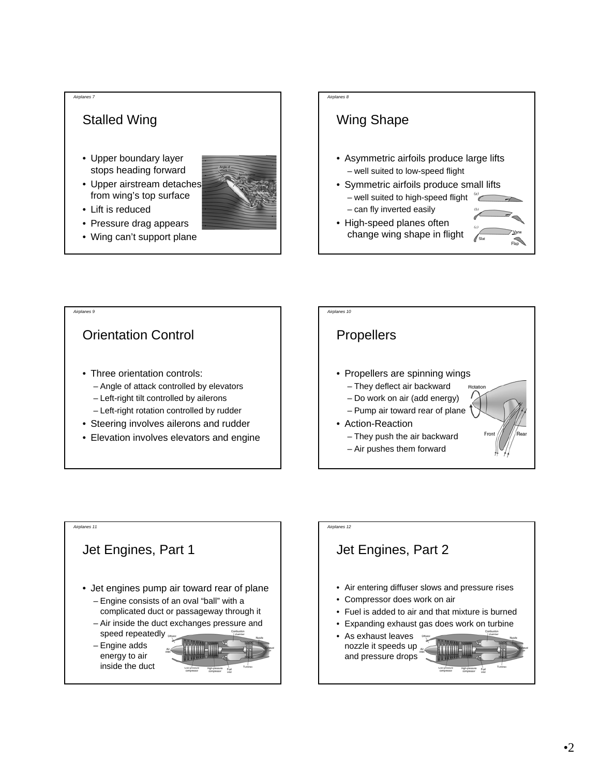#### *Airplanes 7*

## Stalled Wing

- Upper boundary layer stops heading forward
- Upper airstream detaches from wing's top surface
- Lift is reduced
- Pressure drag appears
- Wing can't support plane

# Wing Shape

*Airplanes 8*

- Asymmetric airfoils produce large lifts – well suited to low-speed flight
- Symmetric airfoils produce small lifts – well suited to high-speed flight " – can fly inverted easily
- High-speed planes often change wing shape in flight







# *Airplanes 12* Jet Engines, Part 2 • Air entering diffuser slows and pressure rises • Compressor does work on air • Fuel is added to air and that mixture is burned • Expanding exhaust gas does work on turbine • As exhaust leaves nozzle it speeds up  $\mathbb{R}^d$ and pressure drops